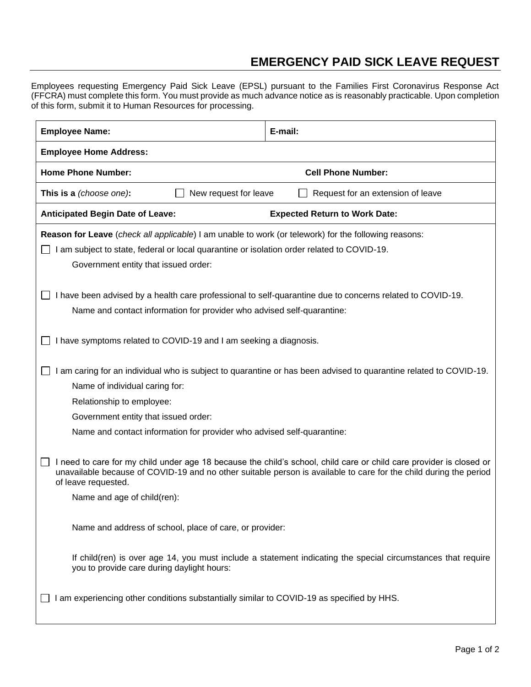## **EMERGENCY PAID SICK LEAVE REQUEST**

Employees requesting Emergency Paid Sick Leave (EPSL) pursuant to the Families First Coronavirus Response Act (FFCRA) must complete this form. You must provide as much advance notice as is reasonably practicable. Upon completion of this form, submit it to Human Resources for processing.

| <b>Employee Name:</b>                                                                                                                                                                                                                                                                                                                                                    | E-mail:                                                                                                      |  |
|--------------------------------------------------------------------------------------------------------------------------------------------------------------------------------------------------------------------------------------------------------------------------------------------------------------------------------------------------------------------------|--------------------------------------------------------------------------------------------------------------|--|
| <b>Employee Home Address:</b>                                                                                                                                                                                                                                                                                                                                            |                                                                                                              |  |
| <b>Home Phone Number:</b>                                                                                                                                                                                                                                                                                                                                                | <b>Cell Phone Number:</b>                                                                                    |  |
| New request for leave<br>This is a (choose one):<br>Request for an extension of leave                                                                                                                                                                                                                                                                                    |                                                                                                              |  |
| <b>Anticipated Begin Date of Leave:</b>                                                                                                                                                                                                                                                                                                                                  | <b>Expected Return to Work Date:</b>                                                                         |  |
| Reason for Leave (check all applicable) I am unable to work (or telework) for the following reasons:<br>I am subject to state, federal or local quarantine or isolation order related to COVID-19.<br>Government entity that issued order:                                                                                                                               |                                                                                                              |  |
| I have been advised by a health care professional to self-quarantine due to concerns related to COVID-19.<br>Name and contact information for provider who advised self-quarantine:                                                                                                                                                                                      |                                                                                                              |  |
| I have symptoms related to COVID-19 and I am seeking a diagnosis.                                                                                                                                                                                                                                                                                                        |                                                                                                              |  |
| am caring for an individual who is subject to quarantine or has been advised to quarantine related to COVID-19.<br>Name of individual caring for:<br>Relationship to employee:<br>Government entity that issued order:                                                                                                                                                   |                                                                                                              |  |
| Name and contact information for provider who advised self-quarantine:<br>I need to care for my child under age 18 because the child's school, child care or child care provider is closed or<br>unavailable because of COVID-19 and no other suitable person is available to care for the child during the period<br>of leave requested.<br>Name and age of child(ren): |                                                                                                              |  |
| Name and address of school, place of care, or provider:                                                                                                                                                                                                                                                                                                                  |                                                                                                              |  |
| you to provide care during daylight hours:                                                                                                                                                                                                                                                                                                                               | If child(ren) is over age 14, you must include a statement indicating the special circumstances that require |  |
| am experiencing other conditions substantially similar to COVID-19 as specified by HHS.                                                                                                                                                                                                                                                                                  |                                                                                                              |  |